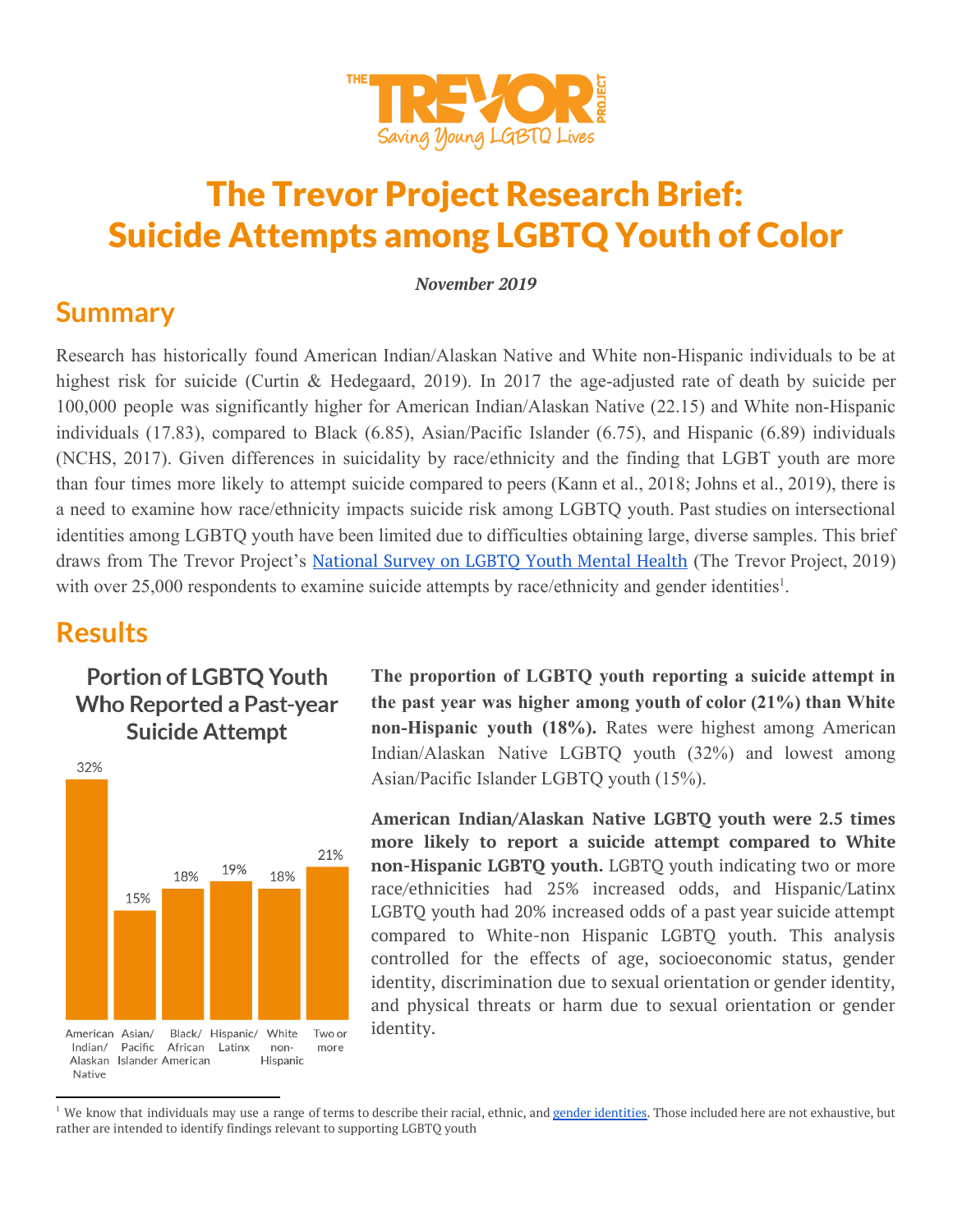

# The Trevor Project Research Brief: Suicide Attempts among LGBTQ Youth of Color

*November 2019*

### **Summary**

Research has historically found American Indian/Alaskan Native and White non-Hispanic individuals to be at highest risk for suicide (Curtin & Hedegaard, 2019). In 2017 the age-adjusted rate of death by suicide per 100,000 people was significantly higher for American Indian/Alaskan Native (22.15) and White non-Hispanic individuals (17.83), compared to Black (6.85), Asian/Pacific Islander (6.75), and Hispanic (6.89) individuals (NCHS, 2017). Given differences in suicidality by race/ethnicity and the finding that LGBT youth are more than four times more likely to attempt suicide compared to peers (Kann et al., 2018; Johns et al., 2019), there is a need to examine how race/ethnicity impacts suicide risk among LGBTQ youth. Past studies on intersectional identities among LGBTQ youth have been limited due to difficulties obtaining large, diverse samples. This brief draws from The Trevor Project's [National](https://www.thetrevorproject.org/LGBTQYouthMentalHealth) Survey on LGBTQ Youth Mental Health (The Trevor Project, 2019) with over 25,000 respondents to examine suicide attempts by race/ethnicity and gender identities<sup>1</sup>.

### **Results**

### **Portion of LGBTQ Youth Who Reported a Past-year Suicide Attempt**



**The proportion of LGBTQ youth reporting a suicide attempt in the past year was higher among youth of color (21%) than White non-Hispanic youth (18%).** Rates were highest among American Indian/Alaskan Native LGBTQ youth (32%) and lowest among Asian/Pacific Islander LGBTQ youth (15%).

**American Indian/Alaskan Native LGBTQ youth were 2.5 times more likely to report a suicide attempt compared to White non-Hispanic LGBTQ youth.** LGBTQ youth indicating two or more race/ethnicities had 25% increased odds, and Hispanic/Latinx LGBTQ youth had 20% increased odds of a past year suicide attempt compared to White-non Hispanic LGBTQ youth. This analysis controlled for the effects of age, socioeconomic status, gender identity, discrimination due to sexual orientation or gender identity, and physical threats or harm due to sexual orientation or gender identity.

<sup>&</sup>lt;sup>1</sup> We know that individuals may use a range of terms to describe their racial, ethnic, and gender [identities.](https://www.thetrevorproject.org/2019/10/29/research-brief-diversity-of-youth-gender-identity/) Those included here are not exhaustive, but rather are intended to identify findings relevant to supporting LGBTQ youth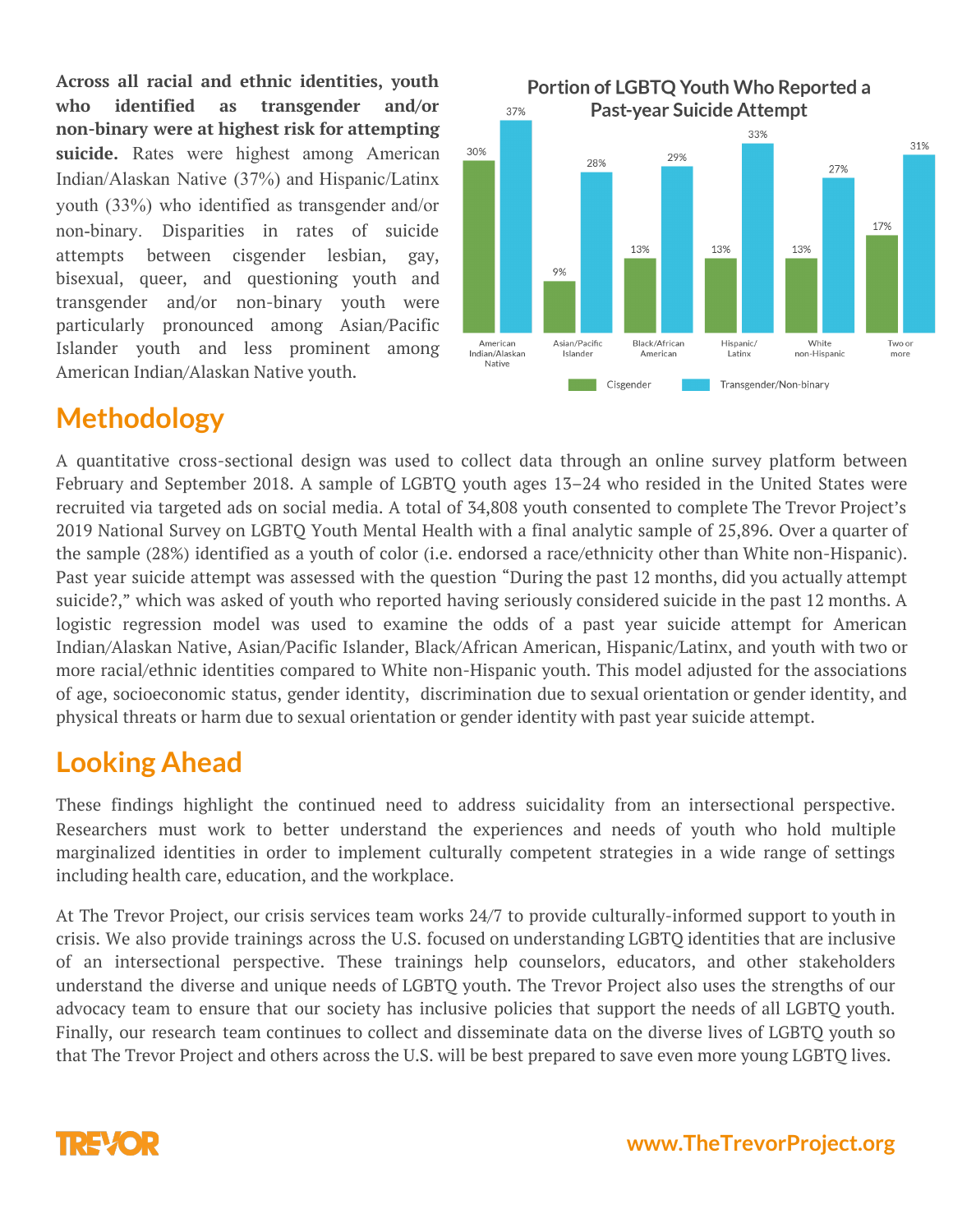**Across all racial and ethnic identities, youth who identified as transgender and/or non-binary were at highest risk for attempting suicide.** Rates were highest among American Indian/Alaskan Native (37%) and Hispanic/Latinx youth (33%) who identified as transgender and/or non-binary. Disparities in rates of suicide attempts between cisgender lesbian, gay, bisexual, queer, and questioning youth and transgender and/or non-binary youth were particularly pronounced among Asian/Pacific Islander youth and less prominent among American Indian/Alaskan Native youth.



## **Methodology**

A quantitative cross-sectional design was used to collect data through an online survey platform between February and September 2018. A sample of LGBTQ youth ages 13–24 who resided in the United States were recruited via targeted ads on social media. A total of 34,808 youth consented to complete The Trevor Project's 2019 National Survey on LGBTQ Youth Mental Health with a final analytic sample of 25,896. Over a quarter of the sample (28%) identified as a youth of color (i.e. endorsed a race/ethnicity other than White non-Hispanic). Past year suicide attempt was assessed with the question "During the past 12 months, did you actually attempt suicide?," which was asked of youth who reported having seriously considered suicide in the past 12 months. A logistic regression model was used to examine the odds of a past year suicide attempt for American Indian/Alaskan Native, Asian/Pacific Islander, Black/African American, Hispanic/Latinx, and youth with two or more racial/ethnic identities compared to White non-Hispanic youth. This model adjusted for the associations of age, socioeconomic status, gender identity, discrimination due to sexual orientation or gender identity, and physical threats or harm due to sexual orientation or gender identity with past year suicide attempt.

### **Looking Ahead**

These findings highlight the continued need to address suicidality from an intersectional perspective. Researchers must work to better understand the experiences and needs of youth who hold multiple marginalized identities in order to implement culturally competent strategies in a wide range of settings including health care, education, and the workplace.

At The Trevor Project, our crisis services team works 24/7 to provide culturally-informed support to youth in crisis. We also provide trainings across the U.S. focused on understanding LGBTQ identities that are inclusive of an intersectional perspective. These trainings help counselors, educators, and other stakeholders understand the diverse and unique needs of LGBTQ youth. The Trevor Project also uses the strengths of our advocacy team to ensure that our society has inclusive policies that support the needs of all LGBTQ youth. Finally, our research team continues to collect and disseminate data on the diverse lives of LGBTQ youth so that The Trevor Project and others across the U.S. will be best prepared to save even more young LGBTQ lives.